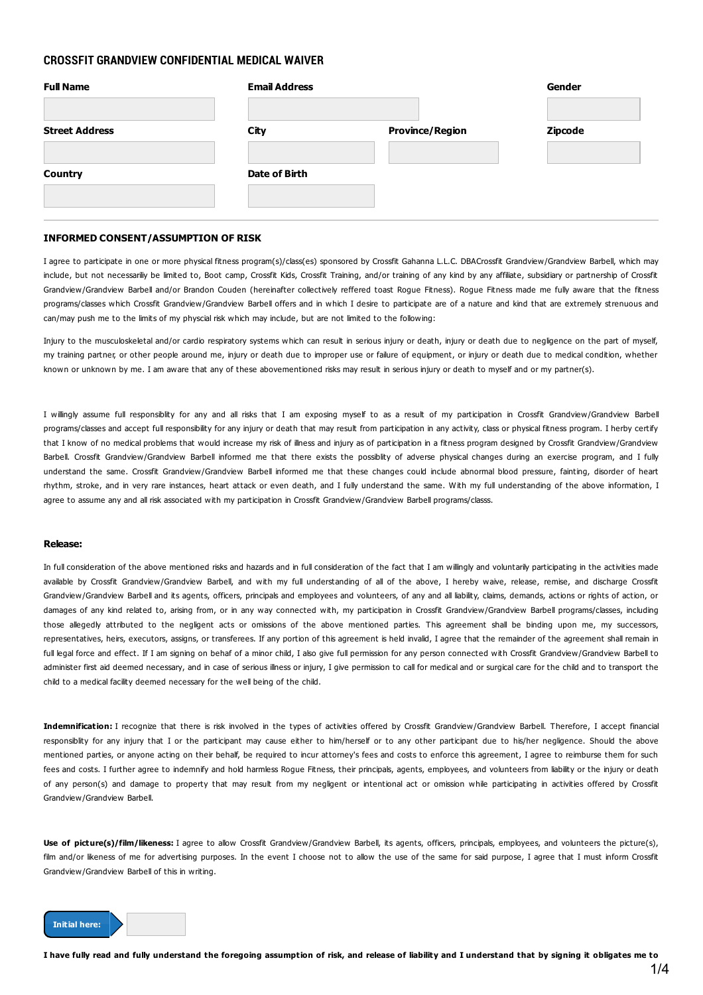## **CROSSFIT GRANDVIEW CONFIDENTIAL MEDICAL WAIVER**

| <b>Full Name</b>      | <b>Email Address</b> |                        | Gender         |
|-----------------------|----------------------|------------------------|----------------|
| <b>Street Address</b> | City                 | <b>Province/Region</b> | <b>Zipcode</b> |
| <b>Country</b>        | Date of Birth        |                        |                |

### **INFORMED CONSENT/ASSUMPTION OF RISK**

I agree to participate in one or more physical fitness program(s)/class(es) sponsored by Crossfit Gahanna L.L.C. DBACrossfit Grandview/Grandview Barbell, which may include, but not necessariliy be limited to, Boot camp, Crossfit Kids, Crossfit Training, and/or training of any kind by any affiliate, subsidiary or partnership of Crossfit Grandview/Grandview Barbell and/or Brandon Couden (hereinafter collectively reffered toast Rogue Fitness). Rogue Fitness made me fully aware that the fitness programs/classes which Crossfit Grandview/Grandview Barbell offers and in which I desire to participate are of a nature and kind that are extremely strenuous and can/may push me to the limits of my physcial risk which may include, but are not limited to the following:

Injury to the musculoskeletal and/or cardio respiratory systems which can result in serious injury or death, injury or death due to negligence on the part of myself, my training partner, or other people around me, injury or death due to improper use or failure of equipment, or injury or death due to medical condition, whether known or unknown by me. I am aware that any of these abovementioned risks may result in serious injury or death to myself and or my partner(s).

I willingly assume full responsiblity for any and all risks that I am exposing myself to as a result of my participation in Crossfit Grandview/Grandview Barbell programs/classes and accept full responsibility for any injury or death that may result from participation in any activity, class or physical fitness program. I herby certify that I know of no medical problems that would increase my risk of illness and injury as of participation in a fitness program designed by Crossfit Grandview/Grandview Barbell. Crossfit Grandview/Grandview Barbell informed me that there exists the possiblity of adverse physical changes during an exercise program, and I fully understand the same. Crossfit Grandview/Grandview Barbell informed me that these changes could include abnormal blood pressure, fainting, disorder of heart rhythm, stroke, and in very rare instances, heart attack or even death, and I fully understand the same. With my full understanding of the above information, I agree to assume any and all risk associated with my participation in Crossfit Grandview/Grandview Barbell programs/classs.

#### **Release:**

In full consideration of the above mentioned risks and hazards and in full consideration of the fact that I am willingly and voluntarily participating in the activities made available by Crossfit Grandview/Grandview Barbell, and with my full understanding of all of the above, I hereby waive, release, remise, and discharge Crossfit Grandview/Grandview Barbell and its agents, officers, principals and employees and volunteers, of any and all liability, claims, demands, actions or rights of action, or damages of any kind related to, arising from, or in any way connected with, my participation in Crossfit Grandview/Grandview Barbell programs/classes, including those allegedly attributed to the negligent acts or omissions of the above mentioned parties. This agreement shall be binding upon me, my successors, representatives, heirs, executors, assigns, or transferees. If any portion of this agreement is held invalid, I agree that the remainder of the agreement shall remain in full legal force and effect. If I am signing on behaf of a minor child, I also give full permission for any person connected with Crossfit Grandview/Grandview Barbell to administer first aid deemed necessary, and in case of serious illness or injury, I give permission to call for medical and or surgical care for the child and to transport the child to a medical facility deemed necessary for the well being of the child.

Indemnification: I recognize that there is risk involved in the types of activities offered by Crossfit Grandview/Grandview Barbell. Therefore, I accept financial responsiblity for any injury that I or the participant may cause either to him/herself or to any other participant due to his/her negligence. Should the above mentioned parties, or anyone acting on their behalf, be required to incur attorney's fees and costs to enforce this agreement, I agree to reimburse them for such fees and costs. I further agree to indemnify and hold harmless Rogue Fitness, their principals, agents, employees, and volunteers from liability or the injury or death of any person(s) and damage to property that may result from my negligent or intentional act or omission while participating in activities offered by Crossfit Grandview/Grandview Barbell.

**Use of picture(s)/film/likeness:** I agree to allow Crossfit Grandview/Grandview Barbell, its agents, officers, principals, employees, and volunteers the picture(s), film and/or likeness of me for advertising purposes. In the event I choose not to allow the use of the same for said purpose, I agree that I must inform Crossfit Grandview/Grandview Barbell of this in writing.

#### **Initial here:**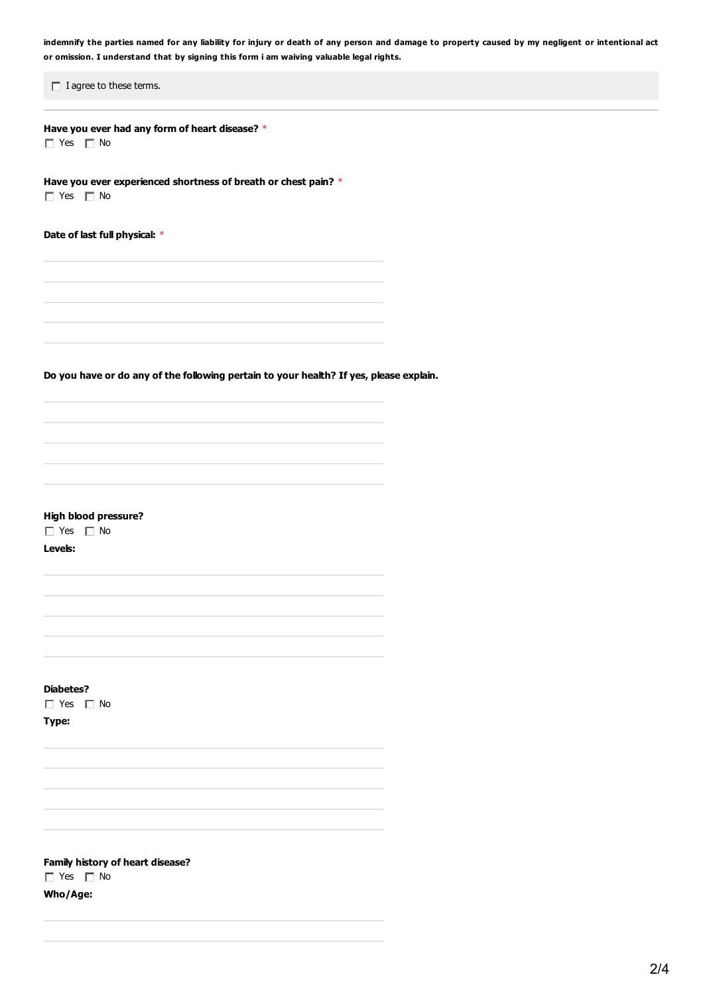indemnify the parties named for any liability for injury or death of any person and damage to property caused by my negligent or intentional act **or omission. I understand that by signing this form i am waiving valuable legal rights.**

 $\Box$  I agree to these terms.

**Have you ever had any form of heart disease?** \*  $\Box$  Yes  $\Box$  No

**Have you ever experienced shortness of breath or chest pain?** \*  $\Box$  Yes  $\Box$  No

**Date of last full physical:** \*

**Do you have or do any of the following pertain to your health? If yes, please explain.**

**High blood pressure?**

■ Yes ■ No

**Levels:**

**Diabetes?**

 $\Box$  Yes  $\Box$  No

**Type:**

**Family history of heart disease?**  $\Box$  Yes  $\Box$  No **Who/Age:**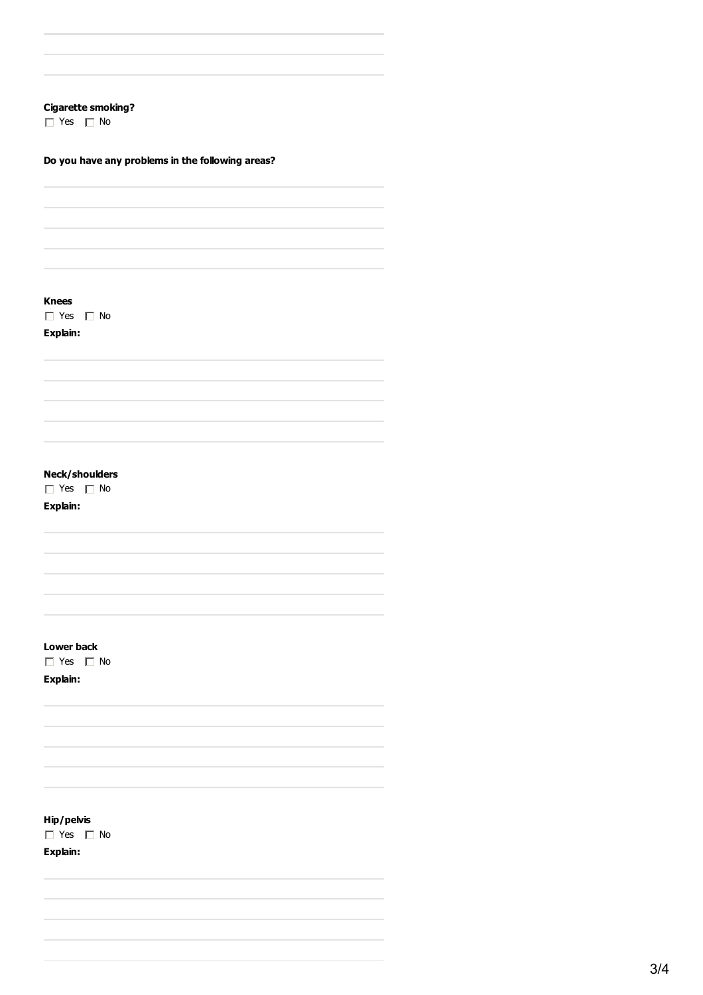## **Cigarette smoking?**

 $\Box$  Yes  $\Box$  No

## **Do you have any problems in the following areas?**

**Knees**

 $\Box$  Yes  $\Box$  No

**Explain:**

# **Neck/shoulders**

 $\Box$  Yes  $\Box$  No

**Explain:**

**Lower back**

 $\Box$  Yes  $\Box$  No

**Explain:**

**Hip/pelvis**

 $\Box$  Yes  $\Box$  No

**Explain:**